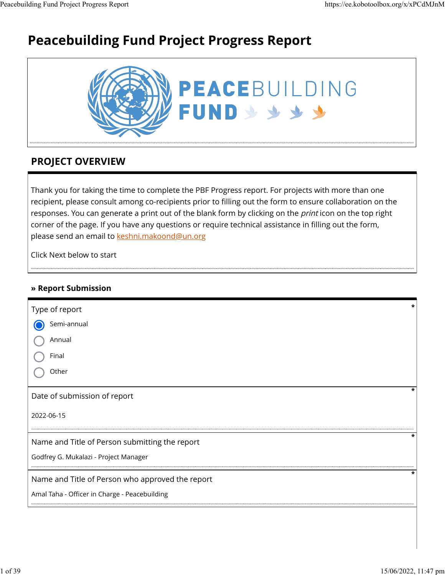# **Peacebuilding Fund Project Progress Report**



### **PROJECT OVERVIEW**

Thank you for taking the time to complete the PBF Progress report. For projects with more than one recipient, please consult among co-recipients prior to filling out the form to ensure collaboration on the responses. You can generate a print out of the blank form by clicking on the *print* icon on the top right corner of the page. If you have any questions or require technical assistance in filling out the form, please send an email to [keshni.makoond@un.org](https://ee.kobotoolbox.org/x/keshni.makoond@un.org)

Click Next below to start

### **» Report Submission**

| Type of report                                   | * |
|--------------------------------------------------|---|
| Semi-annual                                      |   |
| Annual                                           |   |
| Final                                            |   |
| Other                                            |   |
| Date of submission of report                     |   |
| 2022-06-15                                       |   |
| Name and Title of Person submitting the report   |   |
| Godfrey G. Mukalazi - Project Manager            |   |
| Name and Title of Person who approved the report |   |
| Amal Taha - Officer in Charge - Peacebuilding    |   |
|                                                  |   |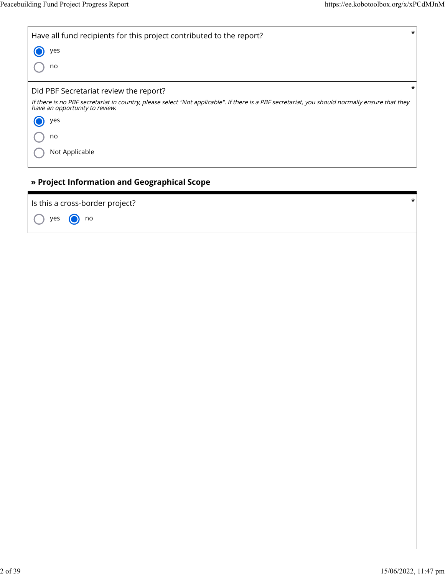| $\star$<br>Have all fund recipients for this project contributed to the report?                                                                                                  |
|----------------------------------------------------------------------------------------------------------------------------------------------------------------------------------|
| yes                                                                                                                                                                              |
| no                                                                                                                                                                               |
| *<br>Did PBF Secretariat review the report?                                                                                                                                      |
| If there is no PBF secretariat in country, please select "Not applicable". If there is a PBF secretariat, you should normally ensure that they<br>have an opportunity to review. |
| yes                                                                                                                                                                              |
| no                                                                                                                                                                               |
| Not Applicable                                                                                                                                                                   |

### **» Project Information and Geographical Scope**

Is this a cross-border project? **\*** yes no  $(\ )$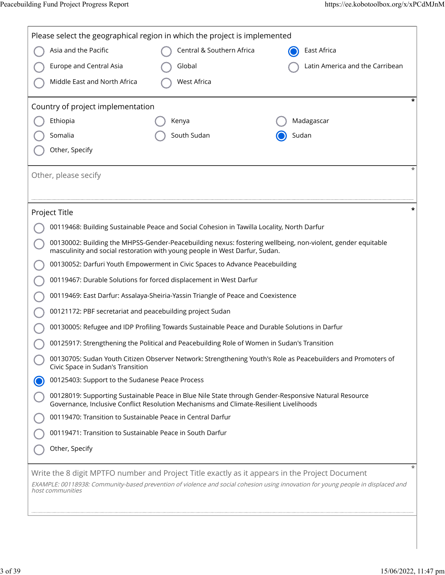| Please select the geographical region in which the project is implemented                                                                                                                                                                                        |                                                                                               |                                                                                                              |  |  |  |
|------------------------------------------------------------------------------------------------------------------------------------------------------------------------------------------------------------------------------------------------------------------|-----------------------------------------------------------------------------------------------|--------------------------------------------------------------------------------------------------------------|--|--|--|
| Asia and the Pacific                                                                                                                                                                                                                                             | Central & Southern Africa                                                                     | East Africa                                                                                                  |  |  |  |
| Europe and Central Asia                                                                                                                                                                                                                                          | Global                                                                                        | Latin America and the Carribean                                                                              |  |  |  |
| Middle East and North Africa                                                                                                                                                                                                                                     | <b>West Africa</b>                                                                            |                                                                                                              |  |  |  |
| Country of project implementation                                                                                                                                                                                                                                |                                                                                               |                                                                                                              |  |  |  |
| Ethiopia                                                                                                                                                                                                                                                         | Kenya                                                                                         | Madagascar                                                                                                   |  |  |  |
| Somalia                                                                                                                                                                                                                                                          | South Sudan                                                                                   | Sudan                                                                                                        |  |  |  |
| Other, Specify                                                                                                                                                                                                                                                   |                                                                                               |                                                                                                              |  |  |  |
| Other, please secify                                                                                                                                                                                                                                             |                                                                                               |                                                                                                              |  |  |  |
|                                                                                                                                                                                                                                                                  |                                                                                               |                                                                                                              |  |  |  |
| Project Title                                                                                                                                                                                                                                                    |                                                                                               |                                                                                                              |  |  |  |
|                                                                                                                                                                                                                                                                  | 00119468: Building Sustainable Peace and Social Cohesion in Tawilla Locality, North Darfur    |                                                                                                              |  |  |  |
|                                                                                                                                                                                                                                                                  | masculinity and social restoration with young people in West Darfur, Sudan.                   | 00130002: Building the MHPSS-Gender-Peacebuilding nexus: fostering wellbeing, non-violent, gender equitable  |  |  |  |
|                                                                                                                                                                                                                                                                  | 00130052: Darfuri Youth Empowerment in Civic Spaces to Advance Peacebuilding                  |                                                                                                              |  |  |  |
|                                                                                                                                                                                                                                                                  | 00119467: Durable Solutions for forced displacement in West Darfur                            |                                                                                                              |  |  |  |
|                                                                                                                                                                                                                                                                  | 00119469: East Darfur: Assalaya-Sheiria-Yassin Triangle of Peace and Coexistence              |                                                                                                              |  |  |  |
| 00121172: PBF secretariat and peacebuilding project Sudan                                                                                                                                                                                                        |                                                                                               |                                                                                                              |  |  |  |
|                                                                                                                                                                                                                                                                  | 00130005: Refugee and IDP Profiling Towards Sustainable Peace and Durable Solutions in Darfur |                                                                                                              |  |  |  |
|                                                                                                                                                                                                                                                                  | 00125917: Strengthening the Political and Peacebuilding Role of Women in Sudan's Transition   |                                                                                                              |  |  |  |
| Civic Space in Sudan's Transition                                                                                                                                                                                                                                |                                                                                               | 00130705: Sudan Youth Citizen Observer Network: Strengthening Youth's Role as Peacebuilders and Promoters of |  |  |  |
| 00125403: Support to the Sudanese Peace Process                                                                                                                                                                                                                  |                                                                                               |                                                                                                              |  |  |  |
|                                                                                                                                                                                                                                                                  | Governance, Inclusive Conflict Resolution Mechanisms and Climate-Resilient Livelihoods        | 00128019: Supporting Sustainable Peace in Blue Nile State through Gender-Responsive Natural Resource         |  |  |  |
| 00119470: Transition to Sustainable Peace in Central Darfur                                                                                                                                                                                                      |                                                                                               |                                                                                                              |  |  |  |
| 00119471: Transition to Sustainable Peace in South Darfur                                                                                                                                                                                                        |                                                                                               |                                                                                                              |  |  |  |
| Other, Specify                                                                                                                                                                                                                                                   |                                                                                               |                                                                                                              |  |  |  |
| $\ast$<br>Write the 8 digit MPTFO number and Project Title exactly as it appears in the Project Document<br>EXAMPLE: 00118938: Community-based prevention of violence and social cohesion using innovation for young people in displaced and<br>host communities |                                                                                               |                                                                                                              |  |  |  |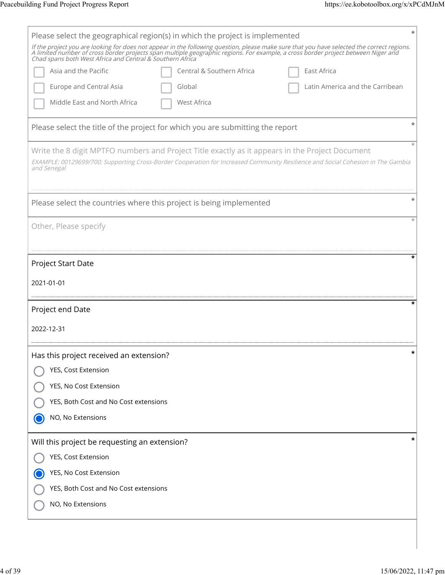| Please select the geographical region(s) in which the project is implemented                                                                                                                                                      |
|-----------------------------------------------------------------------------------------------------------------------------------------------------------------------------------------------------------------------------------|
| If the project you are looking for does not appear in the following question, please make sure that you have selected the correct regions.<br>A limited number of cross border projects span multiple geographic regions. For exa |
| Central & Southern Africa<br>Asia and the Pacific<br>East Africa                                                                                                                                                                  |
| Europe and Central Asia<br>Global<br>Latin America and the Carribean                                                                                                                                                              |
| Middle East and North Africa<br><b>West Africa</b>                                                                                                                                                                                |
| Please select the title of the project for which you are submitting the report                                                                                                                                                    |
| Write the 8 digit MPTFO numbers and Project Title exactly as it appears in the Project Document                                                                                                                                   |
| EXAMPLE: 00129699/700: Supporting Cross-Border Cooperation for Increased Community Resilience and Social Cohesion in The Gambia<br>and Senegal                                                                                    |
| Please select the countries where this project is being implemented                                                                                                                                                               |
| Other, Please specify                                                                                                                                                                                                             |
| ÷                                                                                                                                                                                                                                 |
| Project Start Date                                                                                                                                                                                                                |
| 2021-01-01                                                                                                                                                                                                                        |
| Project end Date                                                                                                                                                                                                                  |
| 2022-12-31                                                                                                                                                                                                                        |
| *<br>Has this project received an extension?                                                                                                                                                                                      |
| YES, Cost Extension                                                                                                                                                                                                               |
| YES, No Cost Extension                                                                                                                                                                                                            |
| YES, Both Cost and No Cost extensions                                                                                                                                                                                             |
| NO, No Extensions                                                                                                                                                                                                                 |
| *<br>Will this project be requesting an extension?                                                                                                                                                                                |
| YES, Cost Extension                                                                                                                                                                                                               |
| YES, No Cost Extension                                                                                                                                                                                                            |
| YES, Both Cost and No Cost extensions                                                                                                                                                                                             |
| NO, No Extensions                                                                                                                                                                                                                 |
|                                                                                                                                                                                                                                   |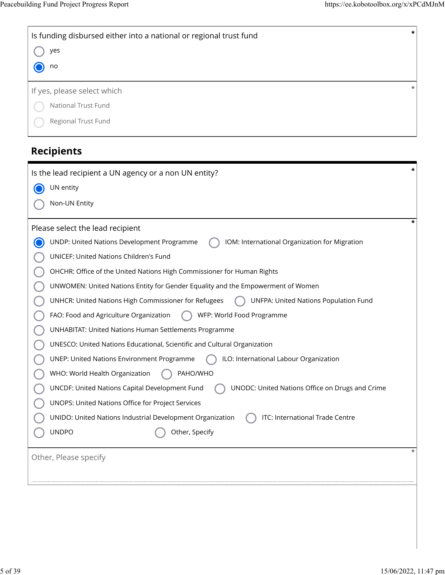| Is funding disbursed either into a national or regional trust fund<br>yes<br>no | $\star$ |
|---------------------------------------------------------------------------------|---------|
| If yes, please select which                                                     | $\ast$  |
| National Trust Fund                                                             |         |
| Regional Trust Fund                                                             |         |

# **Recipients**

| Is the lead recipient a UN agency or a non UN entity?                                                |  |  |
|------------------------------------------------------------------------------------------------------|--|--|
| UN entity                                                                                            |  |  |
| Non-UN Entity                                                                                        |  |  |
| Please select the lead recipient                                                                     |  |  |
| UNDP: United Nations Development Programme<br>IOM: International Organization for Migration          |  |  |
| UNICEF: United Nations Children's Fund                                                               |  |  |
| OHCHR: Office of the United Nations High Commissioner for Human Rights                               |  |  |
| UNWOMEN: United Nations Entity for Gender Equality and the Empowerment of Women                      |  |  |
| UNHCR: United Nations High Commissioner for Refugees<br><b>UNFPA: United Nations Population Fund</b> |  |  |
| FAO: Food and Agriculture Organization<br>WFP: World Food Programme                                  |  |  |
| <b>UNHABITAT: United Nations Human Settlements Programme</b>                                         |  |  |
| UNESCO: United Nations Educational, Scientific and Cultural Organization                             |  |  |
| <b>UNEP: United Nations Environment Programme</b><br>ILO: International Labour Organization          |  |  |
| WHO: World Health Organization<br>PAHO/WHO                                                           |  |  |
| UNCDF: United Nations Capital Development Fund<br>UNODC: United Nations Office on Drugs and Crime    |  |  |
| UNOPS: United Nations Office for Project Services                                                    |  |  |
| UNIDO: United Nations Industrial Development Organization<br>ITC: International Trade Centre         |  |  |
| <b>UNDPO</b><br>Other, Specify                                                                       |  |  |
| Other, Please specify                                                                                |  |  |
|                                                                                                      |  |  |
|                                                                                                      |  |  |
|                                                                                                      |  |  |
|                                                                                                      |  |  |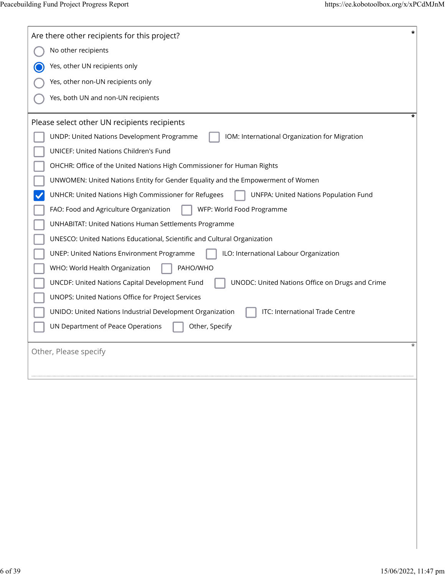| *<br>Are there other recipients for this project?                                                    |
|------------------------------------------------------------------------------------------------------|
| No other recipients                                                                                  |
| Yes, other UN recipients only                                                                        |
| Yes, other non-UN recipients only                                                                    |
| Yes, both UN and non-UN recipients                                                                   |
| ÷<br>Please select other UN recipients recipients                                                    |
| UNDP: United Nations Development Programme<br>IOM: International Organization for Migration          |
| UNICEF: United Nations Children's Fund                                                               |
| OHCHR: Office of the United Nations High Commissioner for Human Rights                               |
| UNWOMEN: United Nations Entity for Gender Equality and the Empowerment of Women                      |
| UNHCR: United Nations High Commissioner for Refugees<br><b>UNFPA: United Nations Population Fund</b> |
| WFP: World Food Programme<br>FAO: Food and Agriculture Organization                                  |
| <b>UNHABITAT: United Nations Human Settlements Programme</b>                                         |
| UNESCO: United Nations Educational, Scientific and Cultural Organization                             |
| ILO: International Labour Organization<br><b>UNEP: United Nations Environment Programme</b>          |
| PAHO/WHO<br>WHO: World Health Organization                                                           |
| UNCDF: United Nations Capital Development Fund<br>UNODC: United Nations Office on Drugs and Crime    |
| UNOPS: United Nations Office for Project Services                                                    |
| ITC: International Trade Centre<br>UNIDO: United Nations Industrial Development Organization         |
| UN Department of Peace Operations<br>Other, Specify                                                  |
| Other, Please specify                                                                                |
|                                                                                                      |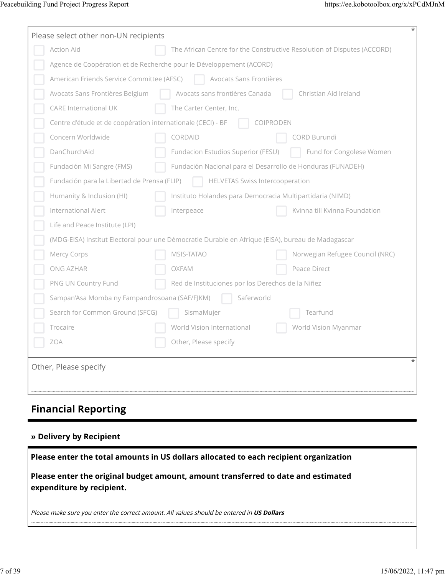| Please select other non-UN recipients                                                             |                                                             | *                                                                       |  |
|---------------------------------------------------------------------------------------------------|-------------------------------------------------------------|-------------------------------------------------------------------------|--|
| Action Aid                                                                                        |                                                             | The African Centre for the Constructive Resolution of Disputes (ACCORD) |  |
| Agence de Coopération et de Recherche pour le Développement (ACORD)                               |                                                             |                                                                         |  |
| American Friends Service Committee (AFSC)<br>Avocats Sans Frontières                              |                                                             |                                                                         |  |
| Avocats Sans Frontières Belgium                                                                   | Avocats sans frontières Canada                              | Christian Aid Ireland                                                   |  |
| CARE International UK                                                                             | The Carter Center, Inc.                                     |                                                                         |  |
| Centre d'étude et de coopération internationale (CECI) - BF                                       | COIPRODEN                                                   |                                                                         |  |
| Concern Worldwide                                                                                 | CORDAID                                                     | CORD Burundi                                                            |  |
| DanChurchAid                                                                                      | Fundacion Estudios Superior (FESU)                          | Fund for Congolese Women                                                |  |
| Fundación Mi Sangre (FMS)                                                                         | Fundación Nacional para el Desarrollo de Honduras (FUNADEH) |                                                                         |  |
| Fundación para la Libertad de Prensa (FLIP)                                                       | <b>HELVETAS Swiss Intercooperation</b>                      |                                                                         |  |
| Humanity & Inclusion (HI)                                                                         | Instituto Holandes para Democracia Multipartidaria (NIMD)   |                                                                         |  |
| International Alert                                                                               | Interpeace                                                  | Kvinna till Kvinna Foundation                                           |  |
| Life and Peace Institute (LPI)                                                                    |                                                             |                                                                         |  |
| (MDG-EISA) Institut Electoral pour une Démocratie Durable en Afrique (EISA), bureau de Madagascar |                                                             |                                                                         |  |
| Mercy Corps                                                                                       | MSIS-TATAO                                                  | Norwegian Refugee Council (NRC)                                         |  |
| ONG AZHAR                                                                                         | OXFAM                                                       | Peace Direct                                                            |  |
| PNG UN Country Fund                                                                               | Red de Instituciones por los Derechos de la Niñez           |                                                                         |  |
| Sampan'Asa Momba ny Fampandrosoana (SAF/FJKM)                                                     | Saferworld                                                  |                                                                         |  |
| Search for Common Ground (SFCG)                                                                   | SismaMujer                                                  | Tearfund                                                                |  |
| Trocaire                                                                                          | World Vision International                                  | World Vision Myanmar                                                    |  |
| ZOA                                                                                               | Other, Please specify                                       |                                                                         |  |
| Other, Please specify                                                                             |                                                             |                                                                         |  |

# **Financial Reporting**

## **» Delivery by Recipient**

| Please enter the total amounts in US dollars allocated to each recipient organization                          |
|----------------------------------------------------------------------------------------------------------------|
| Please enter the original budget amount, amount transferred to date and estimated<br>expenditure by recipient. |
| Please make sure you enter the correct amount. All values should be entered in US Dollars                      |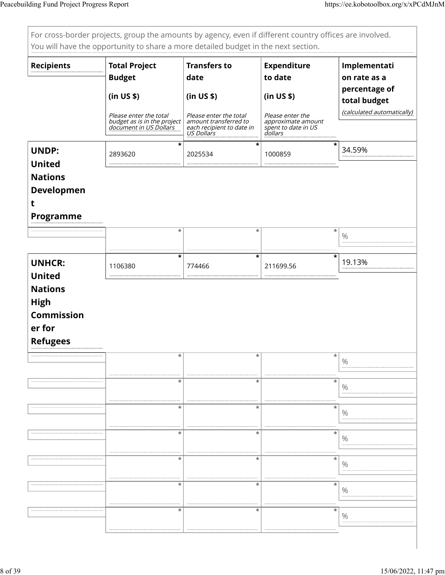| For cross-border projects, group the amounts by agency, even if different country offices are involved.<br>You will have the opportunity to share a more detailed budget in the next section. |                                                                                 |                                                                                            |                                                                          |                                               |  |
|-----------------------------------------------------------------------------------------------------------------------------------------------------------------------------------------------|---------------------------------------------------------------------------------|--------------------------------------------------------------------------------------------|--------------------------------------------------------------------------|-----------------------------------------------|--|
| <b>Recipients</b>                                                                                                                                                                             | <b>Total Project</b><br><b>Budget</b>                                           | <b>Transfers to</b><br>date                                                                | <b>Expenditure</b><br>to date                                            | Implementati<br>on rate as a<br>percentage of |  |
|                                                                                                                                                                                               | (in US \$)                                                                      | (in US \$)                                                                                 | (in US \$)                                                               | total budget                                  |  |
|                                                                                                                                                                                               | Please enter the total<br>budget as is in the project<br>document in US Dollars | Please enter the total<br>amount transferred to<br>each recipient to date in<br>US Dollars | Please enter the<br>approximate amount<br>spent to date in US<br>dollars | (calculated automatically)                    |  |
| <b>UNDP:</b>                                                                                                                                                                                  | $\star$<br>2893620                                                              | $\star$<br>2025534                                                                         | $\star$<br>1000859                                                       | 34.59%                                        |  |
| <b>United</b>                                                                                                                                                                                 |                                                                                 |                                                                                            |                                                                          |                                               |  |
| <b>Nations</b><br><b>Developmen</b>                                                                                                                                                           |                                                                                 |                                                                                            |                                                                          |                                               |  |
| t                                                                                                                                                                                             |                                                                                 |                                                                                            |                                                                          |                                               |  |
| <b>Programme</b>                                                                                                                                                                              |                                                                                 |                                                                                            |                                                                          |                                               |  |
|                                                                                                                                                                                               | $\ast$                                                                          | *                                                                                          | $\ast$                                                                   | $\%$                                          |  |
| <b>UNHCR:</b><br><b>United</b>                                                                                                                                                                | $\ast$<br>1106380                                                               | $\ast$<br>774466                                                                           | $\star$<br>211699.56                                                     | 19.13%                                        |  |
| <b>Nations</b><br><b>High</b><br><b>Commission</b><br>er for<br><b>Refugees</b>                                                                                                               |                                                                                 |                                                                                            |                                                                          |                                               |  |
|                                                                                                                                                                                               | *                                                                               |                                                                                            |                                                                          | $\%$                                          |  |
|                                                                                                                                                                                               | $\ast$                                                                          | *                                                                                          | $\ast$                                                                   | $\%$                                          |  |
|                                                                                                                                                                                               | $\ast$                                                                          | $\ast$                                                                                     | $^\star$                                                                 | $\%$                                          |  |
|                                                                                                                                                                                               | $\ast$                                                                          | $\ast$                                                                                     | $\ast$                                                                   | $\%$                                          |  |
|                                                                                                                                                                                               | *                                                                               | $\ast$                                                                                     | *                                                                        | $\%$                                          |  |
|                                                                                                                                                                                               | *                                                                               | $\ast$                                                                                     | $\star$                                                                  | $\%$                                          |  |
|                                                                                                                                                                                               | $\star$                                                                         | $\ast$                                                                                     | $\ast$                                                                   | $\%$                                          |  |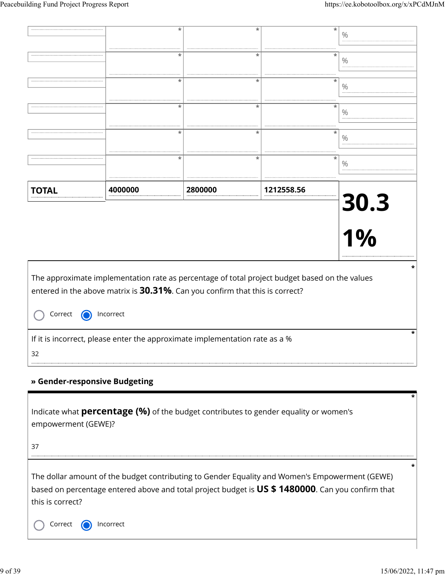|                               | *                                                                                             | *                 | *          | $\%$       |
|-------------------------------|-----------------------------------------------------------------------------------------------|-------------------|------------|------------|
|                               |                                                                                               |                   |            |            |
|                               | $\star$                                                                                       | $\star$           | $\star$    | $\%$       |
|                               | $\ast$                                                                                        | $\overline{\ast}$ | $\ast$     |            |
|                               |                                                                                               |                   |            | $\%$       |
|                               | *                                                                                             | $\star$           | $\ast$     |            |
|                               |                                                                                               |                   |            | $\%$       |
|                               | $\star$                                                                                       | $\star$           | $\ast$     | $\%$       |
|                               |                                                                                               |                   |            |            |
|                               | $\ast$                                                                                        | $\star$           | $\ast$     | $\%$       |
|                               |                                                                                               |                   |            |            |
| <b>TOTAL</b>                  | 4000000                                                                                       | 2800000           | 1212558.56 |            |
|                               |                                                                                               |                   |            | 30.3<br>1% |
|                               |                                                                                               |                   |            |            |
|                               |                                                                                               |                   |            |            |
|                               |                                                                                               |                   |            |            |
|                               |                                                                                               |                   |            | *          |
|                               | The approximate implementation rate as percentage of total project budget based on the values |                   |            |            |
|                               | entered in the above matrix is 30.31%. Can you confirm that this is correct?                  |                   |            |            |
| Correct                       | Incorrect                                                                                     |                   |            |            |
|                               |                                                                                               |                   |            | $\star$    |
|                               | If it is incorrect, please enter the approximate implementation rate as a %                   |                   |            |            |
|                               |                                                                                               |                   |            |            |
| 32                            |                                                                                               |                   |            |            |
|                               |                                                                                               |                   |            |            |
| » Gender-responsive Budgeting |                                                                                               |                   |            |            |
|                               |                                                                                               |                   |            | *          |
|                               | Indicate what <b>percentage (%)</b> of the budget contributes to gender equality or women's   |                   |            |            |
| empowerment (GEWE)?           |                                                                                               |                   |            |            |

The dollar amount of the budget contributing to Gender Equality and Women's Empowerment (GEWE) based on percentage entered above and total project budget is **US \$ 1480000**. Can you confirm that this is correct?

Correct **O** Incorrect

**\***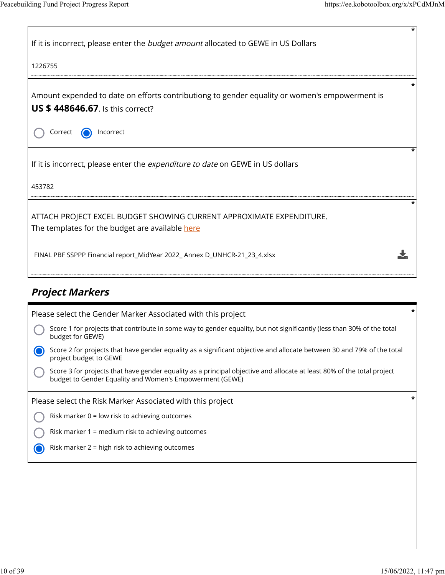| If it is incorrect, please enter the <i>budget amount</i> allocated to GEWE in US Dollars                                                |
|------------------------------------------------------------------------------------------------------------------------------------------|
| 1226755                                                                                                                                  |
| Amount expended to date on efforts contributiong to gender equality or women's empowerment is<br><b>US \$448646.67.</b> Is this correct? |
| Correct<br>Incorrect                                                                                                                     |
| If it is incorrect, please enter the <i>expenditure to date</i> on GEWE in US dollars<br>453782                                          |
|                                                                                                                                          |
| ATTACH PROJECT EXCEL BUDGET SHOWING CURRENT APPROXIMATE EXPENDITURE.<br>The templates for the budget are available here                  |
| FINAL PBF SSPPP Financial report_MidYear 2022_Annex D_UNHCR-21_23_4.xlsx                                                                 |
|                                                                                                                                          |

# **Project Markers**

| Please select the Gender Marker Associated with this project                                                                                                                       | $\star$ |
|------------------------------------------------------------------------------------------------------------------------------------------------------------------------------------|---------|
| Score 1 for projects that contribute in some way to gender equality, but not significantly (less than 30% of the total<br>budget for GEWE)                                         |         |
| Score 2 for projects that have gender equality as a significant objective and allocate between 30 and 79% of the total<br>project budget to GEWE                                   |         |
| Score 3 for projects that have gender equality as a principal objective and allocate at least 80% of the total project<br>budget to Gender Equality and Women's Empowerment (GEWE) |         |
|                                                                                                                                                                                    |         |
| Please select the Risk Marker Associated with this project                                                                                                                         |         |
| Risk marker $0 =$ low risk to achieving outcomes                                                                                                                                   |         |
| Risk marker 1 = medium risk to achieving outcomes                                                                                                                                  |         |
| Risk marker 2 = high risk to achieving outcomes                                                                                                                                    |         |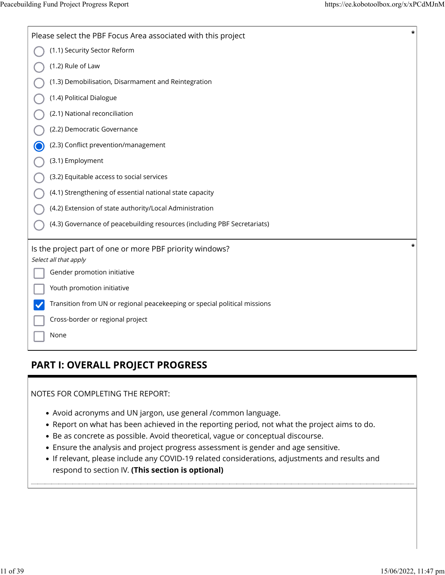| Please select the PBF Focus Area associated with this project                     | * |
|-----------------------------------------------------------------------------------|---|
| (1.1) Security Sector Reform                                                      |   |
| (1.2) Rule of Law                                                                 |   |
| (1.3) Demobilisation, Disarmament and Reintegration                               |   |
| (1.4) Political Dialogue                                                          |   |
| (2.1) National reconciliation                                                     |   |
| (2.2) Democratic Governance                                                       |   |
| (2.3) Conflict prevention/management                                              |   |
| (3.1) Employment                                                                  |   |
| (3.2) Equitable access to social services                                         |   |
| (4.1) Strengthening of essential national state capacity                          |   |
| (4.2) Extension of state authority/Local Administration                           |   |
| (4.3) Governance of peacebuilding resources (including PBF Secretariats)          |   |
| Is the project part of one or more PBF priority windows?<br>Select all that apply | * |
| Gender promotion initiative                                                       |   |
| Youth promotion initiative                                                        |   |
| Transition from UN or regional peacekeeping or special political missions         |   |
| Cross-border or regional project                                                  |   |
| None                                                                              |   |

## **PART I: OVERALL PROJECT PROGRESS**

NOTES FOR COMPLETING THE REPORT:

- Avoid acronyms and UN jargon, use general /common language.
- Report on what has been achieved in the reporting period, not what the project aims to do.
- Be as concrete as possible. Avoid theoretical, vague or conceptual discourse.
- Ensure the analysis and project progress assessment is gender and age sensitive.
- If relevant, please include any COVID-19 related considerations, adjustments and results and respond to section IV. **(This section is optional)**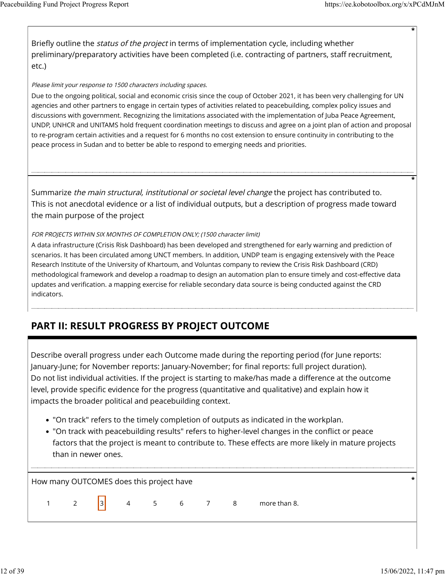**\***

**\***

Briefly outline the *status of the project* in terms of implementation cycle, including whether preliminary/preparatory activities have been completed (i.e. contracting of partners, staff recruitment, etc.)

#### Please limit your response to 1500 characters including spaces.

Due to the ongoing political, social and economic crisis since the coup of October 2021, it has been very challenging for UN agencies and other partners to engage in certain types of activities related to peacebuilding, complex policy issues and discussions with government. Recognizing the limitations associated with the implementation of Juba Peace Agreement, UNDP, UNHCR and UNITAMS hold frequent coordination meetings to discuss and agree on a joint plan of action and proposal to re-program certain activities and a request for 6 months no cost extension to ensure continuity in contributing to the peace process in Sudan and to better be able to respond to emerging needs and priorities.

Summarize the main structural, institutional or societal level change the project has contributed to. This is not anecdotal evidence or a list of individual outputs, but a description of progress made toward the main purpose of the project

#### FOR PROJECTS WITHIN SIX MONTHS OF COMPLETION ONLY; (1500 character limit)

A data infrastructure (Crisis Risk Dashboard) has been developed and strengthened for early warning and prediction of scenarios. It has been circulated among UNCT members. In addition, UNDP team is engaging extensively with the Peace Research Institute of the University of Khartoum, and Voluntas company to review the Crisis Risk Dashboard (CRD) methodological framework and develop a roadmap to design an automation plan to ensure timely and cost-effective data updates and verification. a mapping exercise for reliable secondary data source is being conducted against the CRD indicators.

# **PART II: RESULT PROGRESS BY PROJECT OUTCOME**

Describe overall progress under each Outcome made during the reporting period (for June reports: January-June; for November reports: January-November; for final reports: full project duration). Do not list individual activities. If the project is starting to make/has made a difference at the outcome level, provide specific evidence for the progress (quantitative and qualitative) and explain how it impacts the broader political and peacebuilding context.

- "On track" refers to the timely completion of outputs as indicated in the workplan.
- "On track with peacebuilding results" refers to higher-level changes in the conflict or peace factors that the project is meant to contribute to. These effects are more likely in mature projects than in newer ones.

How many OUTCOMES does this project have **\***

|  |  |  | $\vert$ 3 $\vert$ |  |  | $5 \quad 6$ |  |  | 8 more than 8. |
|--|--|--|-------------------|--|--|-------------|--|--|----------------|
|--|--|--|-------------------|--|--|-------------|--|--|----------------|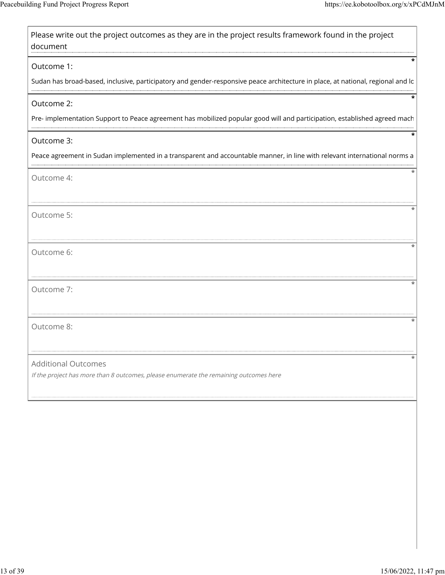| Please write out the project outcomes as they are in the project results framework found in the project<br>document                           |
|-----------------------------------------------------------------------------------------------------------------------------------------------|
| Outcome 1:<br>Sudan has broad-based, inclusive, participatory and gender-responsive peace architecture in place, at national, regional and lo |
| Outcome 2:<br>Pre- implementation Support to Peace agreement has mobilized popular good will and participation, established agreed mach       |
| Outcome 3:<br>Peace agreement in Sudan implemented in a transparent and accountable manner, in line with relevant international norms a       |
| Outcome 4:                                                                                                                                    |
| Outcome 5:                                                                                                                                    |
| Outcome 6:                                                                                                                                    |
| Outcome 7:                                                                                                                                    |
| Outcome 8:                                                                                                                                    |
| <b>Additional Outcomes</b><br>If the project has more than 8 outcomes, please enumerate the remaining outcomes here                           |
|                                                                                                                                               |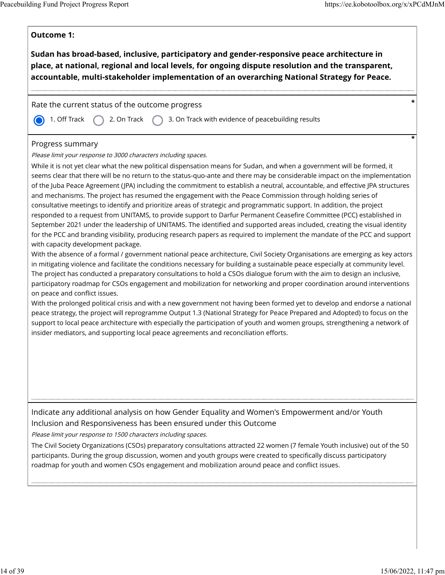| Sudan has broad-based, inclusive, participatory and gender-responsive peace architecture in<br>place, at national, regional and local levels, for ongoing dispute resolution and the transparent,<br>accountable, multi-stakeholder implementation of an overarching National Strategy for Peace.                                                                                                                                                                                                                                                                                                                                                                                                                                                                                                                                                                                                                                                                                                                                                                                                                                                                                                                                                                                                                                                                                                                                                                                                                                                                                                                                                                                                                                                                                                                                                                                                                                                                                                                                                                                                                                                                                          |  |
|--------------------------------------------------------------------------------------------------------------------------------------------------------------------------------------------------------------------------------------------------------------------------------------------------------------------------------------------------------------------------------------------------------------------------------------------------------------------------------------------------------------------------------------------------------------------------------------------------------------------------------------------------------------------------------------------------------------------------------------------------------------------------------------------------------------------------------------------------------------------------------------------------------------------------------------------------------------------------------------------------------------------------------------------------------------------------------------------------------------------------------------------------------------------------------------------------------------------------------------------------------------------------------------------------------------------------------------------------------------------------------------------------------------------------------------------------------------------------------------------------------------------------------------------------------------------------------------------------------------------------------------------------------------------------------------------------------------------------------------------------------------------------------------------------------------------------------------------------------------------------------------------------------------------------------------------------------------------------------------------------------------------------------------------------------------------------------------------------------------------------------------------------------------------------------------------|--|
| Rate the current status of the outcome progress                                                                                                                                                                                                                                                                                                                                                                                                                                                                                                                                                                                                                                                                                                                                                                                                                                                                                                                                                                                                                                                                                                                                                                                                                                                                                                                                                                                                                                                                                                                                                                                                                                                                                                                                                                                                                                                                                                                                                                                                                                                                                                                                            |  |
| 1. Off Track<br>3. On Track with evidence of peacebuilding results<br>2. On Track                                                                                                                                                                                                                                                                                                                                                                                                                                                                                                                                                                                                                                                                                                                                                                                                                                                                                                                                                                                                                                                                                                                                                                                                                                                                                                                                                                                                                                                                                                                                                                                                                                                                                                                                                                                                                                                                                                                                                                                                                                                                                                          |  |
| Progress summary<br>Please limit your response to 3000 characters including spaces.<br>While it is not yet clear what the new political dispensation means for Sudan, and when a government will be formed, it<br>seems clear that there will be no return to the status-quo-ante and there may be considerable impact on the implementation<br>of the Juba Peace Agreement (JPA) including the commitment to establish a neutral, accountable, and effective JPA structures<br>and mechanisms. The project has resumed the engagement with the Peace Commission through holding series of<br>consultative meetings to identify and prioritize areas of strategic and programmatic support. In addition, the project<br>responded to a request from UNITAMS, to provide support to Darfur Permanent Ceasefire Committee (PCC) established in<br>September 2021 under the leadership of UNITAMS. The identified and supported areas included, creating the visual identity<br>for the PCC and branding visibility, producing research papers as required to implement the mandate of the PCC and support<br>with capacity development package.<br>With the absence of a formal / government national peace architecture, Civil Society Organisations are emerging as key actors<br>in mitigating violence and facilitate the conditions necessary for building a sustainable peace especially at community level.<br>The project has conducted a preparatory consultations to hold a CSOs dialogue forum with the aim to design an inclusive,<br>participatory roadmap for CSOs engagement and mobilization for networking and proper coordination around interventions<br>on peace and conflict issues.<br>With the prolonged political crisis and with a new government not having been formed yet to develop and endorse a national<br>peace strategy, the project will reprogramme Output 1.3 (National Strategy for Peace Prepared and Adopted) to focus on the<br>support to local peace architecture with especially the participation of youth and women groups, strengthening a network of<br>insider mediators, and supporting local peace agreements and reconciliation efforts. |  |
| Indicate any additional analysis on how Gender Equality and Women's Empowerment and/or Youth<br>Inclusion and Responsiveness has been ensured under this Outcome                                                                                                                                                                                                                                                                                                                                                                                                                                                                                                                                                                                                                                                                                                                                                                                                                                                                                                                                                                                                                                                                                                                                                                                                                                                                                                                                                                                                                                                                                                                                                                                                                                                                                                                                                                                                                                                                                                                                                                                                                           |  |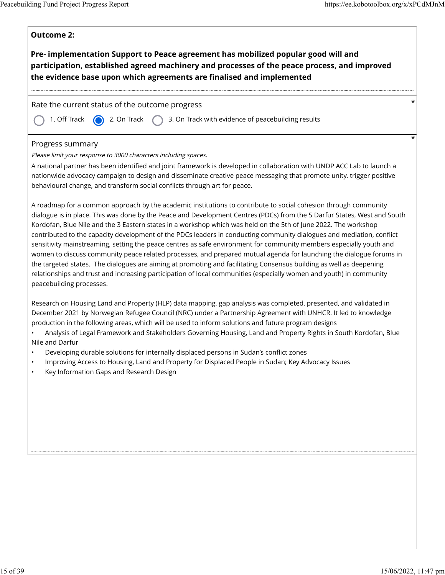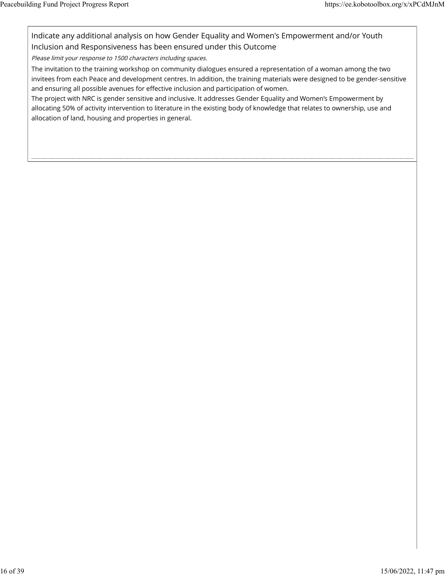Indicate any additional analysis on how Gender Equality and Women's Empowerment and/or Youth Inclusion and Responsiveness has been ensured under this Outcome

Please limit your response to 1500 characters including spaces.

The invitation to the training workshop on community dialogues ensured a representation of a woman among the two invitees from each Peace and development centres. In addition, the training materials were designed to be gender-sensitive and ensuring all possible avenues for effective inclusion and participation of women.

The project with NRC is gender sensitive and inclusive. It addresses Gender Equality and Women's Empowerment by allocating 50% of activity intervention to literature in the existing body of knowledge that relates to ownership, use and allocation of land, housing and properties in general.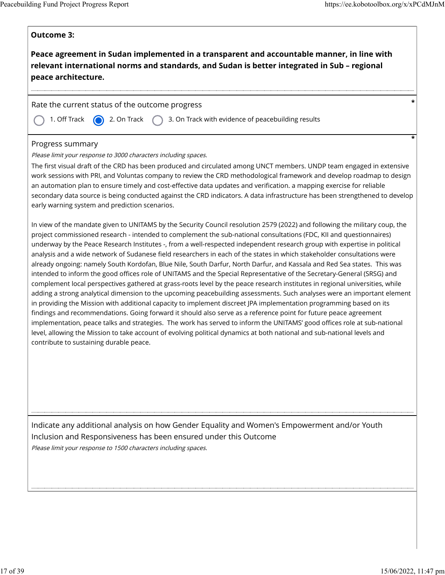$\mathsf{r}$ 

 $\overline{\phantom{a}}$ 

| <b>Outcome 3:</b>                                                                                                                                                                                                                                                                                                                                                                                                                                                                                                                                                                                                                                                                                                                                                                                                                                                                                                                                                                                                                                                                                                                                                                                                                                                                                                                                                                                                                                                                                                                                                       |
|-------------------------------------------------------------------------------------------------------------------------------------------------------------------------------------------------------------------------------------------------------------------------------------------------------------------------------------------------------------------------------------------------------------------------------------------------------------------------------------------------------------------------------------------------------------------------------------------------------------------------------------------------------------------------------------------------------------------------------------------------------------------------------------------------------------------------------------------------------------------------------------------------------------------------------------------------------------------------------------------------------------------------------------------------------------------------------------------------------------------------------------------------------------------------------------------------------------------------------------------------------------------------------------------------------------------------------------------------------------------------------------------------------------------------------------------------------------------------------------------------------------------------------------------------------------------------|
| Peace agreement in Sudan implemented in a transparent and accountable manner, in line with<br>relevant international norms and standards, and Sudan is better integrated in Sub - regional<br>peace architecture.                                                                                                                                                                                                                                                                                                                                                                                                                                                                                                                                                                                                                                                                                                                                                                                                                                                                                                                                                                                                                                                                                                                                                                                                                                                                                                                                                       |
| *                                                                                                                                                                                                                                                                                                                                                                                                                                                                                                                                                                                                                                                                                                                                                                                                                                                                                                                                                                                                                                                                                                                                                                                                                                                                                                                                                                                                                                                                                                                                                                       |
| Rate the current status of the outcome progress                                                                                                                                                                                                                                                                                                                                                                                                                                                                                                                                                                                                                                                                                                                                                                                                                                                                                                                                                                                                                                                                                                                                                                                                                                                                                                                                                                                                                                                                                                                         |
| 1. Off Track<br>2. On Track<br>3. On Track with evidence of peacebuilding results                                                                                                                                                                                                                                                                                                                                                                                                                                                                                                                                                                                                                                                                                                                                                                                                                                                                                                                                                                                                                                                                                                                                                                                                                                                                                                                                                                                                                                                                                       |
| Progress summary<br>Please limit your response to 3000 characters including spaces.                                                                                                                                                                                                                                                                                                                                                                                                                                                                                                                                                                                                                                                                                                                                                                                                                                                                                                                                                                                                                                                                                                                                                                                                                                                                                                                                                                                                                                                                                     |
| The first visual draft of the CRD has been produced and circulated among UNCT members. UNDP team engaged in extensive<br>work sessions with PRI, and Voluntas company to review the CRD methodological framework and develop roadmap to design<br>an automation plan to ensure timely and cost-effective data updates and verification. a mapping exercise for reliable<br>secondary data source is being conducted against the CRD indicators. A data infrastructure has been strengthened to develop<br>early warning system and prediction scenarios.                                                                                                                                                                                                                                                                                                                                                                                                                                                                                                                                                                                                                                                                                                                                                                                                                                                                                                                                                                                                                |
| In view of the mandate given to UNITAMS by the Security Council resolution 2579 (2022) and following the military coup, the<br>project commissioned research - intended to complement the sub-national consultations (FDC, KII and questionnaires)<br>underway by the Peace Research Institutes -, from a well-respected independent research group with expertise in political<br>analysis and a wide network of Sudanese field researchers in each of the states in which stakeholder consultations were<br>already ongoing: namely South Kordofan, Blue Nile, South Darfur, North Darfur, and Kassala and Red Sea states. This was<br>intended to inform the good offices role of UNITAMS and the Special Representative of the Secretary-General (SRSG) and<br>complement local perspectives gathered at grass-roots level by the peace research institutes in regional universities, while<br>adding a strong analytical dimension to the upcoming peacebuilding assessments. Such analyses were an important element<br>in providing the Mission with additional capacity to implement discreet JPA implementation programming based on its<br>findings and recommendations. Going forward it should also serve as a reference point for future peace agreement<br>implementation, peace talks and strategies. The work has served to inform the UNITAMS' good offices role at sub-national<br>level, allowing the Mission to take account of evolving political dynamics at both national and sub-national levels and<br>contribute to sustaining durable peace. |
| Indicate any additional analysis on how Gender Equality and Women's Empowerment and/or Youth<br>Inclusion and Responsiveness has been ensured under this Outcome<br>Please limit your response to 1500 characters including spaces.                                                                                                                                                                                                                                                                                                                                                                                                                                                                                                                                                                                                                                                                                                                                                                                                                                                                                                                                                                                                                                                                                                                                                                                                                                                                                                                                     |
|                                                                                                                                                                                                                                                                                                                                                                                                                                                                                                                                                                                                                                                                                                                                                                                                                                                                                                                                                                                                                                                                                                                                                                                                                                                                                                                                                                                                                                                                                                                                                                         |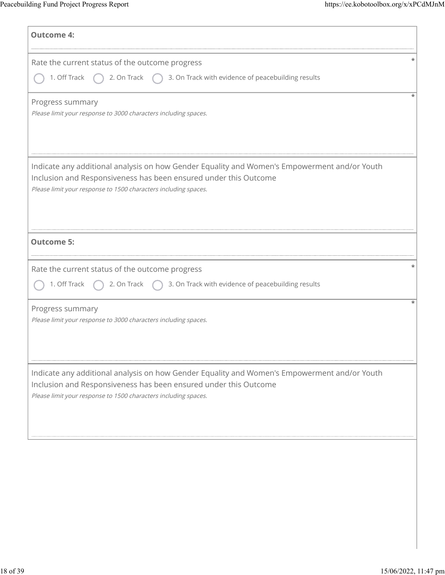| <b>Outcome 4:</b>                                                                                                                                                                                                                   |
|-------------------------------------------------------------------------------------------------------------------------------------------------------------------------------------------------------------------------------------|
| Rate the current status of the outcome progress<br>1. Off Track<br>3. On Track with evidence of peacebuilding results<br>2. On Track                                                                                                |
| Progress summary<br>Please limit your response to 3000 characters including spaces.                                                                                                                                                 |
| Indicate any additional analysis on how Gender Equality and Women's Empowerment and/or Youth<br>Inclusion and Responsiveness has been ensured under this Outcome<br>Please limit your response to 1500 characters including spaces. |
| <b>Outcome 5:</b>                                                                                                                                                                                                                   |
| Rate the current status of the outcome progress<br>3. On Track with evidence of peacebuilding results<br>1. Off Track<br>2. On Track                                                                                                |
| Progress summary<br>Please limit your response to 3000 characters including spaces.                                                                                                                                                 |
| Indicate any additional analysis on how Gender Equality and Women's Empowerment and/or Youth<br>Inclusion and Responsiveness has been ensured under this Outcome<br>Please limit your response to 1500 characters including spaces. |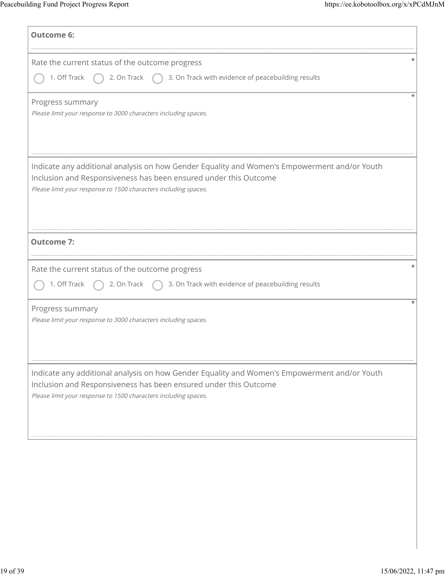| <b>Outcome 6:</b>                                                                                                                                                                                                                   |
|-------------------------------------------------------------------------------------------------------------------------------------------------------------------------------------------------------------------------------------|
| Rate the current status of the outcome progress<br>3. On Track with evidence of peacebuilding results<br>1. Off Track<br>2. On Track                                                                                                |
| Progress summary<br>Please limit your response to 3000 characters including spaces.                                                                                                                                                 |
| Indicate any additional analysis on how Gender Equality and Women's Empowerment and/or Youth<br>Inclusion and Responsiveness has been ensured under this Outcome<br>Please limit your response to 1500 characters including spaces. |
| <b>Outcome 7:</b>                                                                                                                                                                                                                   |
| Rate the current status of the outcome progress<br>3. On Track with evidence of peacebuilding results<br>1. Off Track<br>2. On Track                                                                                                |
| Progress summary<br>Please limit your response to 3000 characters including spaces.                                                                                                                                                 |
| Indicate any additional analysis on how Gender Equality and Women's Empowerment and/or Youth<br>Inclusion and Responsiveness has been ensured under this Outcome<br>Please limit your response to 1500 characters including spaces. |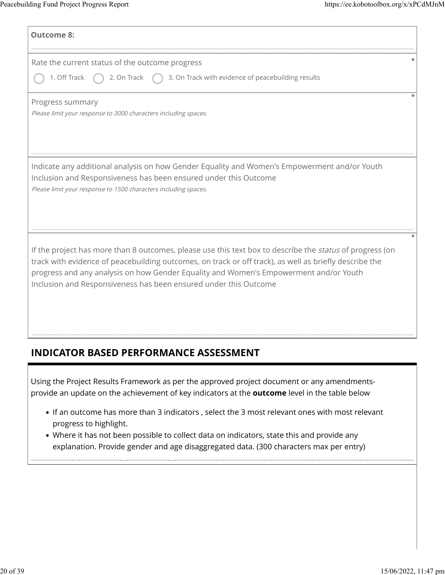| <b>Outcome 8:</b>                                                                                                                                                                                                                                                                                                                                                                      |
|----------------------------------------------------------------------------------------------------------------------------------------------------------------------------------------------------------------------------------------------------------------------------------------------------------------------------------------------------------------------------------------|
| Rate the current status of the outcome progress<br>1. Off Track<br>3. On Track with evidence of peacebuilding results<br>2. On Track                                                                                                                                                                                                                                                   |
| Progress summary<br>Please limit your response to 3000 characters including spaces.                                                                                                                                                                                                                                                                                                    |
| Indicate any additional analysis on how Gender Equality and Women's Empowerment and/or Youth<br>Inclusion and Responsiveness has been ensured under this Outcome<br>Please limit your response to 1500 characters including spaces.                                                                                                                                                    |
| If the project has more than 8 outcomes, please use this text box to describe the <i>status</i> of progress (on<br>track with evidence of peacebuilding outcomes, on track or off track), as well as briefly describe the<br>progress and any analysis on how Gender Equality and Women's Empowerment and/or Youth<br>Inclusion and Responsiveness has been ensured under this Outcome |

## **INDICATOR BASED PERFORMANCE ASSESSMENT**

Using the Project Results Framework as per the approved project document or any amendmentsprovide an update on the achievement of key indicators at the **outcome** level in the table below

- If an outcome has more than 3 indicators , select the 3 most relevant ones with most relevant progress to highlight.
- Where it has not been possible to collect data on indicators, state this and provide any explanation. Provide gender and age disaggregated data. (300 characters max per entry)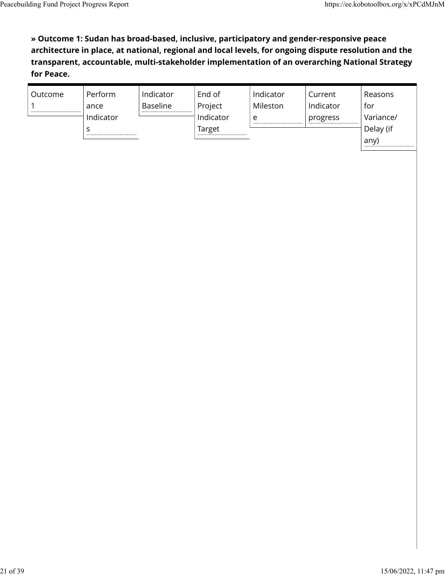**» Outcome 1: Sudan has broad-based, inclusive, participatory and gender-responsive peace architecture in place, at national, regional and local levels, for ongoing dispute resolution and the transparent, accountable, multi-stakeholder implementation of an overarching National Strategy for Peace.**

| Outcome | Perform   | Indicator       | End of    | Indicator | Current   | Reasons   |
|---------|-----------|-----------------|-----------|-----------|-----------|-----------|
|         | ance      | <b>Baseline</b> | Project   | Mileston  | Indicator | for       |
|         | Indicator |                 | Indicator | e         | progress  | Variance/ |
|         |           |                 | Target    |           |           | Delay (if |
|         |           |                 |           |           |           | any)      |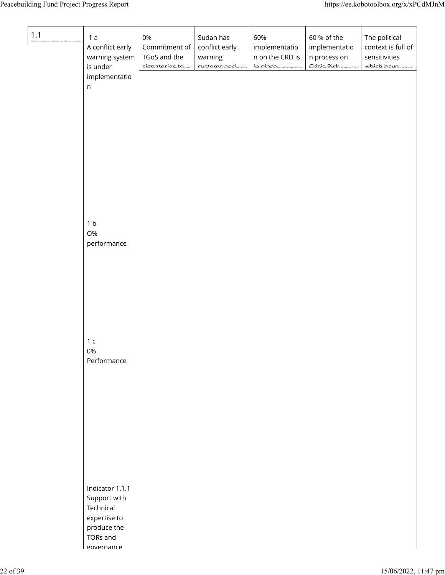| $1.1$ | 1a<br>A conflict early<br>warning system<br>is under                 | 0%<br>Commitment of<br>TGoS and the<br>cianatoriac.to | Sudan has<br>conflict early<br>warning<br>cuctome and | 60%<br>implementatio<br>n on the CRD is<br>in place. | 60 % of the<br>implementatio<br>n process on<br>$C$ ricic Diele | The political<br>context is full of<br>sensitivities<br>muhich homo |
|-------|----------------------------------------------------------------------|-------------------------------------------------------|-------------------------------------------------------|------------------------------------------------------|-----------------------------------------------------------------|---------------------------------------------------------------------|
|       | implementatio<br>$\sf n$                                             |                                                       |                                                       |                                                      |                                                                 |                                                                     |
|       |                                                                      |                                                       |                                                       |                                                      |                                                                 |                                                                     |
|       |                                                                      |                                                       |                                                       |                                                      |                                                                 |                                                                     |
|       | 1 <sub>b</sub><br>O%<br>performance                                  |                                                       |                                                       |                                                      |                                                                 |                                                                     |
|       |                                                                      |                                                       |                                                       |                                                      |                                                                 |                                                                     |
|       | 1 <sub>c</sub>                                                       |                                                       |                                                       |                                                      |                                                                 |                                                                     |
|       | 0%<br>Performance                                                    |                                                       |                                                       |                                                      |                                                                 |                                                                     |
|       |                                                                      |                                                       |                                                       |                                                      |                                                                 |                                                                     |
|       | Indicator 1.1.1                                                      |                                                       |                                                       |                                                      |                                                                 |                                                                     |
|       | Support with<br>Technical<br>expertise to<br>produce the<br>TORs and |                                                       |                                                       |                                                      |                                                                 |                                                                     |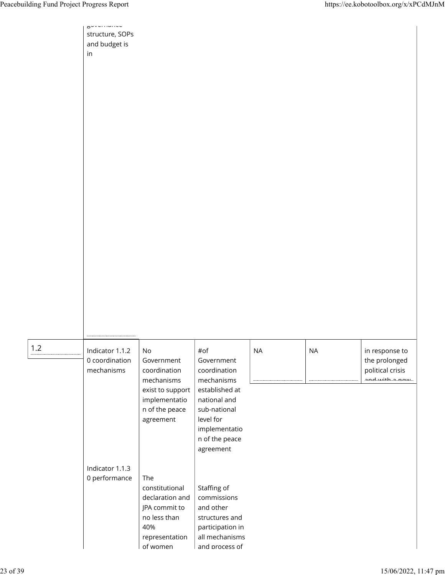|     | structure, SOPs<br>and budget is<br>in          |                                                                                                                               |                                                                                                                                                                |           |           |                                                                       |
|-----|-------------------------------------------------|-------------------------------------------------------------------------------------------------------------------------------|----------------------------------------------------------------------------------------------------------------------------------------------------------------|-----------|-----------|-----------------------------------------------------------------------|
| 1.2 | Indicator 1.1.2<br>0 coordination<br>mechanisms | $\mathsf{No}$<br>Government<br>coordination<br>mechanisms<br>exist to support<br>implementatio<br>n of the peace<br>agreement | #of<br>Government<br>coordination<br>mechanisms<br>established at<br>national and<br>sub-national<br>level for<br>implementatio<br>n of the peace<br>agreement | <b>NA</b> | <b>NA</b> | in response to<br>the prolonged<br>political crisis<br>and with a now |
|     | Indicator 1.1.3<br>0 performance                | The<br>constitutional<br>declaration and<br>JPA commit to<br>no less than<br>40%<br>representation<br>of women                | Staffing of<br>commissions<br>and other<br>structures and<br>participation in<br>all mechanisms<br>and process of                                              |           |           |                                                                       |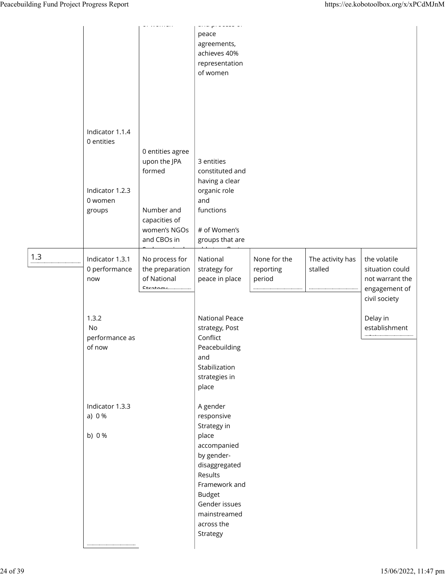|     |                                                                       |                                                                                                          | $\frac{1}{2} \left( \frac{1}{2} \right) \left( \frac{1}{2} \right) \left( \frac{1}{2} \right) \left( \frac{1}{2} \right) \left( \frac{1}{2} \right) \left( \frac{1}{2} \right) \left( \frac{1}{2} \right) \left( \frac{1}{2} \right) \left( \frac{1}{2} \right) \left( \frac{1}{2} \right) \left( \frac{1}{2} \right) \left( \frac{1}{2} \right) \left( \frac{1}{2} \right) \left( \frac{1}{2} \right) \left( \frac{1}{2} \right) \left( \frac{1}{2} \right) \left( \frac$<br>peace<br>agreements,<br>achieves 40%<br>representation<br>of women |                                     |                             |                                                                                      |
|-----|-----------------------------------------------------------------------|----------------------------------------------------------------------------------------------------------|--------------------------------------------------------------------------------------------------------------------------------------------------------------------------------------------------------------------------------------------------------------------------------------------------------------------------------------------------------------------------------------------------------------------------------------------------------------------------------------------------------------------------------------------------|-------------------------------------|-----------------------------|--------------------------------------------------------------------------------------|
|     | Indicator 1.1.4<br>0 entities<br>Indicator 1.2.3<br>0 women<br>groups | 0 entities agree<br>upon the JPA<br>formed<br>Number and<br>capacities of<br>women's NGOs<br>and CBOs in | 3 entities<br>constituted and<br>having a clear<br>organic role<br>and<br>functions<br># of Women's<br>groups that are                                                                                                                                                                                                                                                                                                                                                                                                                           |                                     |                             |                                                                                      |
| 1.3 | Indicator 1.3.1<br>0 performance<br>now                               | No process for<br>the preparation<br>of National<br>$C$ tratomu                                          | National<br>strategy for<br>peace in place                                                                                                                                                                                                                                                                                                                                                                                                                                                                                                       | None for the<br>reporting<br>period | The activity has<br>stalled | the volatile<br>situation could<br>not warrant the<br>engagement of<br>civil society |
|     | 1.3.2<br>No<br>performance as<br>of now                               |                                                                                                          | <b>National Peace</b><br>strategy, Post<br>Conflict<br>Peacebuilding<br>and<br>Stabilization<br>strategies in<br>place                                                                                                                                                                                                                                                                                                                                                                                                                           |                                     |                             | Delay in<br>establishment                                                            |
|     | Indicator 1.3.3<br>a) $0%$<br>b) 0 %                                  |                                                                                                          | A gender<br>responsive<br>Strategy in<br>place<br>accompanied<br>by gender-<br>disaggregated<br>Results<br>Framework and<br><b>Budget</b><br>Gender issues<br>mainstreamed<br>across the<br>Strategy                                                                                                                                                                                                                                                                                                                                             |                                     |                             |                                                                                      |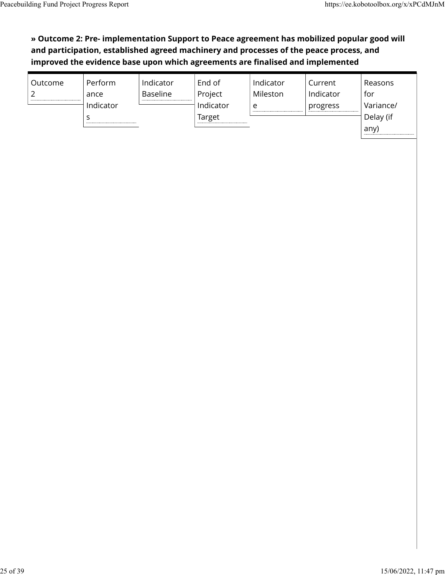### **» Outcome 2: Pre- implementation Support to Peace agreement has mobilized popular good will and participation, established agreed machinery and processes of the peace process, and improved the evidence base upon which agreements are finalised and implemented**

| Outcome        | Perform   | Indicator       | End of    | Indicator | Current   | Reasons   |
|----------------|-----------|-----------------|-----------|-----------|-----------|-----------|
| $\overline{2}$ | ance      | <b>Baseline</b> | Project   | Mileston  | Indicator | for       |
|                | Indicator |                 | Indicator | e         | progress  | Variance/ |
|                |           |                 | Target    |           |           | Delay (if |
|                |           |                 |           |           |           | any)      |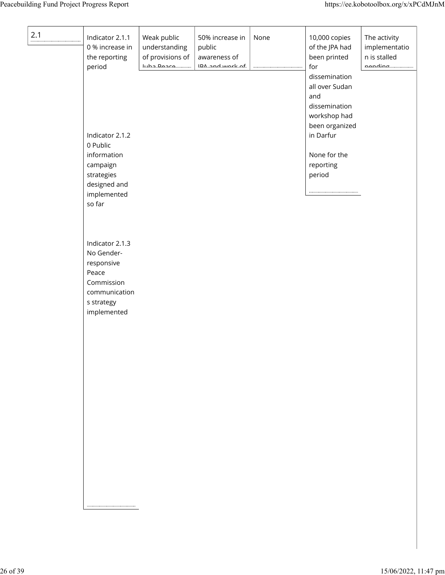| 2.1 | Indicator 2.1.1<br>0 % increase in<br>the reporting<br>period                                                    | Weak public<br>understanding<br>of provisions of<br>سمعجمها جطيبا | 50% increase in<br>public<br>awareness of<br>$IM\_andmodel\_f$ | None | 10,000 copies<br>of the JPA had<br>been printed<br>for<br>dissemination                                                      | The activity<br>implementatio<br>n is stalled<br>nondina. |
|-----|------------------------------------------------------------------------------------------------------------------|-------------------------------------------------------------------|----------------------------------------------------------------|------|------------------------------------------------------------------------------------------------------------------------------|-----------------------------------------------------------|
|     | Indicator 2.1.2<br>0 Public<br>information<br>campaign<br>strategies<br>designed and<br>implemented<br>so far    |                                                                   |                                                                |      | all over Sudan<br>and<br>dissemination<br>workshop had<br>been organized<br>in Darfur<br>None for the<br>reporting<br>period |                                                           |
|     | Indicator 2.1.3<br>No Gender-<br>responsive<br>Peace<br>Commission<br>communication<br>s strategy<br>implemented |                                                                   |                                                                |      |                                                                                                                              |                                                           |
|     |                                                                                                                  |                                                                   |                                                                |      |                                                                                                                              |                                                           |
|     |                                                                                                                  |                                                                   |                                                                |      |                                                                                                                              |                                                           |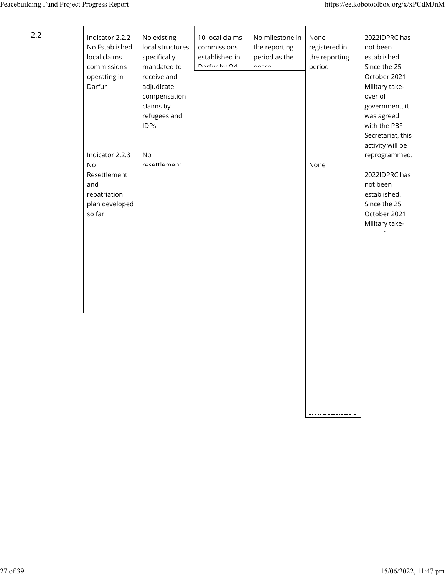| 2.2 | Indicator 2.2.2<br>No Established<br>local claims<br>commissions<br>operating in<br>Darfur<br>Indicator 2.2.3<br>No<br>Resettlement<br>and<br>repatriation | No existing<br>local structures<br>specifically<br>mandated to<br>receive and<br>adjudicate<br>compensation<br>claims by<br>refugees and<br>IDPs.<br>No<br>resettlement | 10 local claims<br>commissions<br>established in<br>$D$ arfur $M$ | No milestone in<br>the reporting<br>period as the<br><b>DODCO</b> | None<br>registered in<br>the reporting<br>period<br>None | 2022IDPRC has<br>not been<br>established.<br>Since the 25<br>October 2021<br>Military take-<br>over of<br>government, it<br>was agreed<br>with the PBF<br>Secretariat, this<br>activity will be<br>reprogrammed.<br>2022IDPRC has<br>not been<br>established. |
|-----|------------------------------------------------------------------------------------------------------------------------------------------------------------|-------------------------------------------------------------------------------------------------------------------------------------------------------------------------|-------------------------------------------------------------------|-------------------------------------------------------------------|----------------------------------------------------------|---------------------------------------------------------------------------------------------------------------------------------------------------------------------------------------------------------------------------------------------------------------|
|     | plan developed<br>so far                                                                                                                                   |                                                                                                                                                                         |                                                                   |                                                                   |                                                          | Since the 25<br>October 2021<br>Military take-                                                                                                                                                                                                                |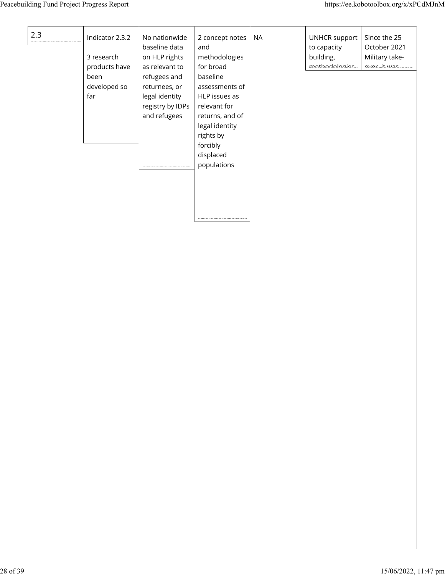| 2.3 | Indicator 2.3.2<br>3 research<br>products have<br>been<br>developed so<br>far | No nationwide<br>baseline data<br>on HLP rights<br>as relevant to<br>refugees and<br>returnees, or<br>legal identity<br>registry by IDPs<br>and refugees | 2 concept notes<br>and<br>methodologies<br>for broad<br>baseline<br>assessments of<br>HLP issues as<br>relevant for<br>returns, and of<br>legal identity<br>rights by<br>forcibly<br>displaced<br>populations | <b>NA</b> | <b>UNHCR support</b><br>to capacity<br>building,<br>mathadalasias | Since the 25<br>October 2021<br>Military take-<br>$\frac{1}{2}$ |
|-----|-------------------------------------------------------------------------------|----------------------------------------------------------------------------------------------------------------------------------------------------------|---------------------------------------------------------------------------------------------------------------------------------------------------------------------------------------------------------------|-----------|-------------------------------------------------------------------|-----------------------------------------------------------------|
|     |                                                                               |                                                                                                                                                          |                                                                                                                                                                                                               |           |                                                                   |                                                                 |
|     |                                                                               |                                                                                                                                                          |                                                                                                                                                                                                               |           |                                                                   |                                                                 |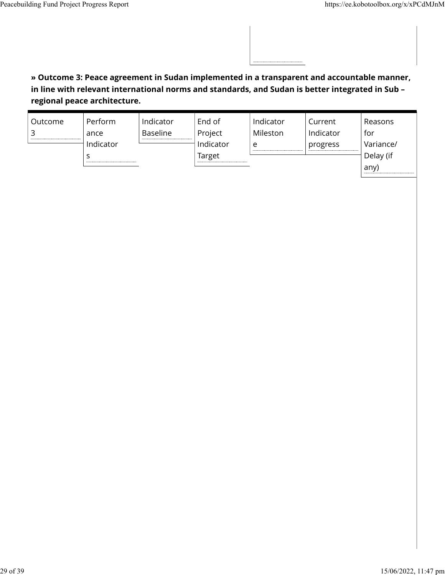### **» Outcome 3: Peace agreement in Sudan implemented in a transparent and accountable manner, in line with relevant international norms and standards, and Sudan is better integrated in Sub – regional peace architecture.**

| Outcome | Perform   | Indicator       | End of    | Indicator | Current   | Reasons   |
|---------|-----------|-----------------|-----------|-----------|-----------|-----------|
|         | ance      | <b>Baseline</b> | Project   | Mileston  | Indicator | for       |
|         | Indicator |                 | Indicator | e         | progress  | Variance/ |
|         |           |                 | Target    |           |           | Delay (if |
|         |           |                 |           |           |           | any)      |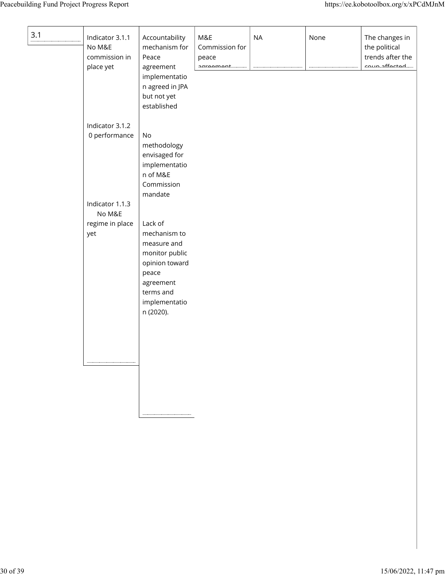| 3.1 | Indicator 3.1.1<br>No M&E<br>commission in<br>place yet | Accountability<br>mechanism for<br>Peace<br>agreement<br>implementatio<br>n agreed in JPA<br>but not yet<br>established                     | M&E<br>Commission for<br>peace<br>ക <i>രാക്കര</i> ക്ഷി | <b>NA</b> | None | The changes in<br>the political<br>trends after the<br>$\frac{1}{2}$ |
|-----|---------------------------------------------------------|---------------------------------------------------------------------------------------------------------------------------------------------|--------------------------------------------------------|-----------|------|----------------------------------------------------------------------|
|     | Indicator 3.1.2<br>0 performance                        | No<br>methodology<br>envisaged for<br>implementatio<br>n of M&E<br>Commission<br>mandate                                                    |                                                        |           |      |                                                                      |
|     | Indicator 1.1.3<br>No M&E<br>regime in place<br>yet     | Lack of<br>mechanism to<br>measure and<br>monitor public<br>opinion toward<br>peace<br>agreement<br>terms and<br>implementatio<br>n (2020). |                                                        |           |      |                                                                      |
|     |                                                         |                                                                                                                                             |                                                        |           |      |                                                                      |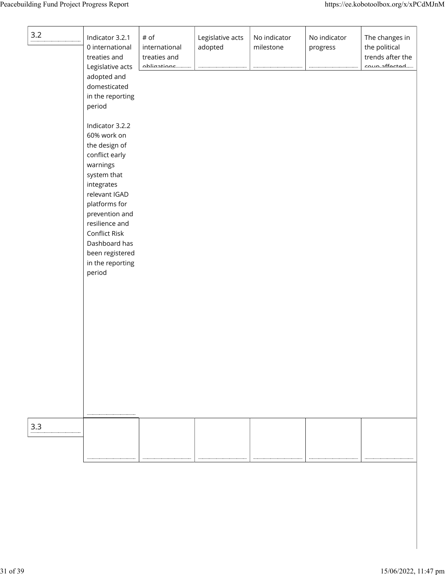| 3.2 | Indicator 3.2.1<br>0 international<br>treaties and<br>Legislative acts<br>adopted and<br>domesticated<br>in the reporting<br>period                                                                                                                                 | # of<br>international<br>treaties and<br><i><b>Abliantions</b></i> | Legislative acts<br>adopted | No indicator<br>milestone | No indicator<br>progress | The changes in<br>the political<br>trends after the<br>coup offortad |
|-----|---------------------------------------------------------------------------------------------------------------------------------------------------------------------------------------------------------------------------------------------------------------------|--------------------------------------------------------------------|-----------------------------|---------------------------|--------------------------|----------------------------------------------------------------------|
|     | Indicator 3.2.2<br>60% work on<br>the design of<br>conflict early<br>warnings<br>system that<br>integrates<br>relevant IGAD<br>platforms for<br>prevention and<br>resilience and<br>Conflict Risk<br>Dashboard has<br>been registered<br>in the reporting<br>period |                                                                    |                             |                           |                          |                                                                      |
| 3.3 |                                                                                                                                                                                                                                                                     |                                                                    |                             |                           |                          |                                                                      |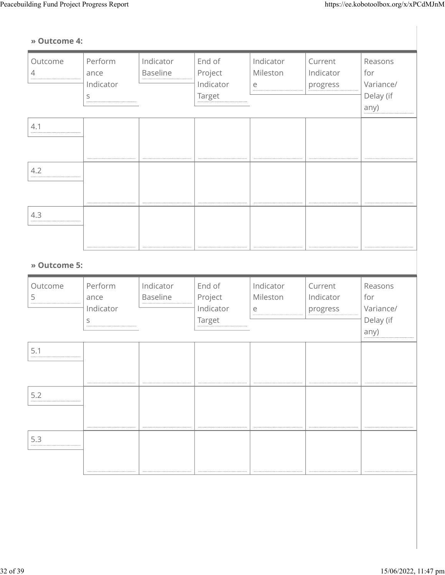### **» Outcome 4:**

| Outcome<br>4 | Perform<br>ance<br>Indicator<br>S | Indicator<br><b>Baseline</b> | End of<br>Project<br>Indicator<br>Target | Indicator<br>Mileston<br>$\mathsf{e}% _{t}\left( t\right)$ | Current<br>Indicator<br>progress | Reasons<br>for<br>Variance/<br>Delay (if<br>any) |
|--------------|-----------------------------------|------------------------------|------------------------------------------|------------------------------------------------------------|----------------------------------|--------------------------------------------------|
| 4.1          |                                   |                              |                                          |                                                            |                                  |                                                  |
| 4.2          |                                   |                              |                                          |                                                            |                                  |                                                  |
| 4.3          |                                   |                              |                                          |                                                            |                                  |                                                  |
| » Outcome 5: |                                   |                              |                                          |                                                            |                                  |                                                  |
| Outcome<br>5 | Perform<br>ance<br>Indicator<br>S | Indicator<br>Baseline        | End of<br>Project<br>Indicator<br>Target | Indicator<br>Mileston<br>$\mathop{\mathrm{e}}$             | Current<br>Indicator<br>progress | Reasons<br>for<br>Variance/<br>Delay (if<br>any) |
| 5.1          |                                   |                              |                                          |                                                            |                                  |                                                  |
| 5.2          |                                   |                              |                                          |                                                            |                                  |                                                  |
| 5.3          |                                   |                              |                                          |                                                            |                                  |                                                  |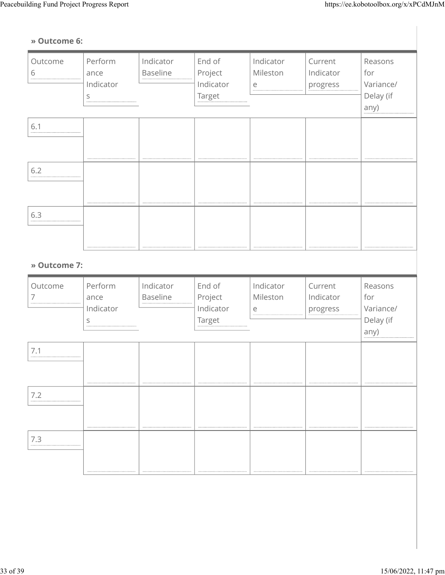### **» Outcome 6:**

| Outcome<br>6 | Perform<br>ance<br>Indicator<br>S           | Indicator<br><b>Baseline</b> | End of<br>Project<br>Indicator<br>Target | Indicator<br>Mileston<br>$\mathsf{e}% _{t}\left( t\right)$ | Current<br>Indicator<br>progress | Reasons<br>for<br>Variance/<br>Delay (if<br>any) |
|--------------|---------------------------------------------|------------------------------|------------------------------------------|------------------------------------------------------------|----------------------------------|--------------------------------------------------|
| 6.1          |                                             |                              |                                          |                                                            |                                  |                                                  |
| 6.2          |                                             |                              |                                          |                                                            |                                  |                                                  |
| 6.3          |                                             |                              |                                          |                                                            |                                  |                                                  |
| » Outcome 7: |                                             |                              |                                          |                                                            |                                  |                                                  |
| Outcome<br>7 | Perform<br>ance<br>Indicator<br>$\mathsf S$ | Indicator<br>Baseline        | End of<br>Project<br>Indicator<br>Target | Indicator<br>Mileston<br>$\mathop{\mathrm{e}}$             | Current<br>Indicator<br>progress | Reasons<br>for<br>Variance/<br>Delay (if<br>any) |
| 7.1          |                                             |                              |                                          |                                                            |                                  |                                                  |
| 7.2          |                                             |                              |                                          |                                                            |                                  |                                                  |
| $7.3$        |                                             |                              |                                          |                                                            |                                  |                                                  |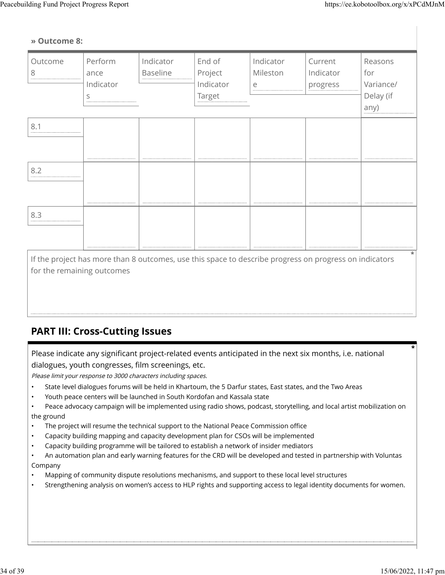#### **» Outcome 8:**

| Outcome<br>8                                                                                                                         | Perform<br>ance<br>Indicator<br>S | Indicator<br>Baseline | End of<br>Project<br>Indicator<br>Target | Indicator<br>Mileston<br>e | Current<br>Indicator<br>progress | Reasons<br>for<br>Variance/<br>Delay (if<br>any) |
|--------------------------------------------------------------------------------------------------------------------------------------|-----------------------------------|-----------------------|------------------------------------------|----------------------------|----------------------------------|--------------------------------------------------|
| 8.1                                                                                                                                  |                                   |                       |                                          |                            |                                  |                                                  |
| 8.2                                                                                                                                  |                                   |                       |                                          |                            |                                  |                                                  |
| 8.3                                                                                                                                  |                                   |                       |                                          |                            |                                  |                                                  |
| If the project has more than 8 outcomes, use this space to describe progress on progress on indicators<br>for the remaining outcomes |                                   |                       |                                          |                            |                                  |                                                  |

## **PART III: Cross-Cutting Issues**

Please indicate any significant project-related events anticipated in the next six months, i.e. national dialogues, youth congresses, film screenings, etc.

Please limit your response to 3000 characters including spaces.

- State level dialogues forums will be held in Khartoum, the 5 Darfur states, East states, and the Two Areas
- Youth peace centers will be launched in South Kordofan and Kassala state

• Peace advocacy campaign will be implemented using radio shows, podcast, storytelling, and local artist mobilization on the ground

- The project will resume the technical support to the National Peace Commission office
- Capacity building mapping and capacity development plan for CSOs will be implemented
- Capacity building programme will be tailored to establish a network of insider mediators

• An automation plan and early warning features for the CRD will be developed and tested in partnership with Voluntas Company

- Mapping of community dispute resolutions mechanisms, and support to these local level structures
- Strengthening analysis on women's access to HLP rights and supporting access to legal identity documents for women.

**\***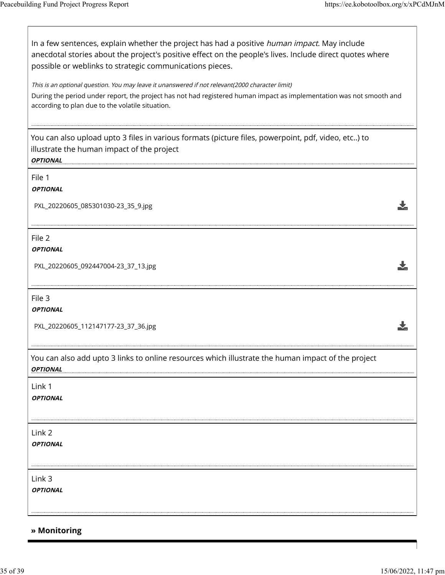$\lceil$ 

| In a few sentences, explain whether the project has had a positive <i>human impact</i> . May include<br>anecdotal stories about the project's positive effect on the people's lives. Include direct quotes where<br>possible or weblinks to strategic communications pieces. |  |
|------------------------------------------------------------------------------------------------------------------------------------------------------------------------------------------------------------------------------------------------------------------------------|--|
| This is an optional question. You may leave it unanswered if not relevant(2000 character limit)<br>During the period under report, the project has not had registered human impact as implementation was not smooth and<br>according to plan due to the volatile situation.  |  |
| You can also upload upto 3 files in various formats (picture files, powerpoint, pdf, video, etc) to<br>illustrate the human impact of the project<br><b>OPTIONAL</b>                                                                                                         |  |
| File 1<br><b>OPTIONAL</b>                                                                                                                                                                                                                                                    |  |
| PXL_20220605_085301030-23_35_9.jpg                                                                                                                                                                                                                                           |  |
| File 2<br><b>OPTIONAL</b>                                                                                                                                                                                                                                                    |  |
| PXL_20220605_092447004-23_37_13.jpg                                                                                                                                                                                                                                          |  |
| File 3<br><b>OPTIONAL</b>                                                                                                                                                                                                                                                    |  |
| PXL_20220605_112147177-23_37_36.jpg                                                                                                                                                                                                                                          |  |
| You can also add upto 3 links to online resources which illustrate the human impact of the project<br><b>OPTIONAL</b>                                                                                                                                                        |  |
| Link 1<br><b>OPTIONAL</b>                                                                                                                                                                                                                                                    |  |
| Link 2<br><b>OPTIONAL</b>                                                                                                                                                                                                                                                    |  |
| Link 3<br><b>OPTIONAL</b>                                                                                                                                                                                                                                                    |  |

### **» Monitoring**

 $\overline{\phantom{a}}$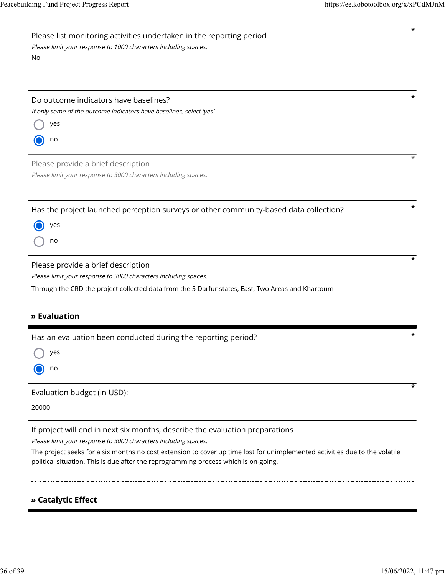| *<br>Please list monitoring activities undertaken in the reporting period<br>Please limit your response to 1000 characters including spaces.<br>No                                                                                                                                                                                                                    |
|-----------------------------------------------------------------------------------------------------------------------------------------------------------------------------------------------------------------------------------------------------------------------------------------------------------------------------------------------------------------------|
| Do outcome indicators have baselines?<br>If only some of the outcome indicators have baselines, select 'yes'<br>yes<br>no                                                                                                                                                                                                                                             |
| Please provide a brief description<br>Please limit your response to 3000 characters including spaces.                                                                                                                                                                                                                                                                 |
| *<br>Has the project launched perception surveys or other community-based data collection?<br>yes<br>no                                                                                                                                                                                                                                                               |
| *<br>Please provide a brief description<br>Please limit your response to 3000 characters including spaces.<br>Through the CRD the project collected data from the 5 Darfur states, East, Two Areas and Khartoum                                                                                                                                                       |
| » Evaluation                                                                                                                                                                                                                                                                                                                                                          |
| *<br>Has an evaluation been conducted during the reporting period?<br>) yes<br>no                                                                                                                                                                                                                                                                                     |
| *<br>Evaluation budget (in USD):<br>20000                                                                                                                                                                                                                                                                                                                             |
| If project will end in next six months, describe the evaluation preparations<br>Please limit your response to 3000 characters including spaces.<br>The project seeks for a six months no cost extension to cover up time lost for unimplemented activities due to the volatile<br>political situation. This is due after the reprogramming process which is on-going. |
| » Catalytic Effect                                                                                                                                                                                                                                                                                                                                                    |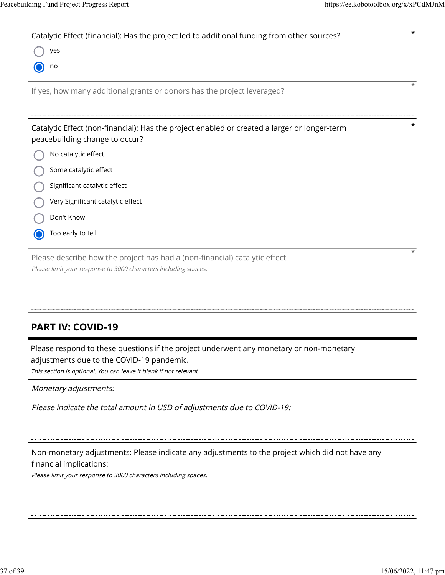| *<br>Catalytic Effect (financial): Has the project led to additional funding from other sources?                                              |
|-----------------------------------------------------------------------------------------------------------------------------------------------|
| yes                                                                                                                                           |
| no                                                                                                                                            |
| If yes, how many additional grants or donors has the project leveraged?                                                                       |
|                                                                                                                                               |
| Catalytic Effect (non-financial): Has the project enabled or created a larger or longer-term<br>peacebuilding change to occur?                |
| No catalytic effect                                                                                                                           |
| Some catalytic effect                                                                                                                         |
| Significant catalytic effect                                                                                                                  |
| Very Significant catalytic effect                                                                                                             |
| Don't Know                                                                                                                                    |
| Too early to tell                                                                                                                             |
| Please describe how the project has had a (non-financial) catalytic effect<br>Please limit your response to 3000 characters including spaces. |
| <b>PART IV: COVID-19</b>                                                                                                                      |

Please respond to these questions if the project underwent any monetary or non-monetary adjustments due to the COVID-19 pandemic.

This section is optional. You can leave it blank if not relevant

Monetary adjustments:

Please indicate the total amount in USD of adjustments due to COVID-19:

Non-monetary adjustments: Please indicate any adjustments to the project which did not have any financial implications:

Please limit your response to 3000 characters including spaces.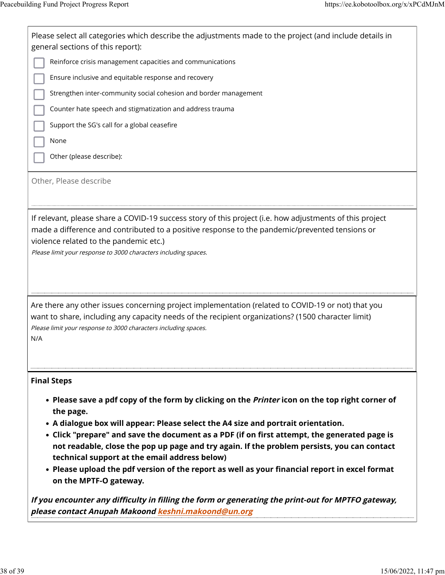| Please select all categories which describe the adjustments made to the project (and include details in<br>general sections of this report):<br>Reinforce crisis management capacities and communications<br>Ensure inclusive and equitable response and recovery<br>Strengthen inter-community social cohesion and border management<br>Counter hate speech and stigmatization and address trauma<br>Support the SG's call for a global ceasefire<br>None<br>Other (please describe):<br>Other, Please describe                                                                                                                                                                                                                                                        |
|-------------------------------------------------------------------------------------------------------------------------------------------------------------------------------------------------------------------------------------------------------------------------------------------------------------------------------------------------------------------------------------------------------------------------------------------------------------------------------------------------------------------------------------------------------------------------------------------------------------------------------------------------------------------------------------------------------------------------------------------------------------------------|
| If relevant, please share a COVID-19 success story of this project (i.e. how adjustments of this project<br>made a difference and contributed to a positive response to the pandemic/prevented tensions or<br>violence related to the pandemic etc.)<br>Please limit your response to 3000 characters including spaces.                                                                                                                                                                                                                                                                                                                                                                                                                                                 |
| Are there any other issues concerning project implementation (related to COVID-19 or not) that you<br>want to share, including any capacity needs of the recipient organizations? (1500 character limit)<br>Please limit your response to 3000 characters including spaces.<br>N/A                                                                                                                                                                                                                                                                                                                                                                                                                                                                                      |
| <b>Final Steps</b><br>• Please save a pdf copy of the form by clicking on the <i>Printer</i> icon on the top right corner of<br>the page.<br>• A dialogue box will appear: Please select the A4 size and portrait orientation.<br>• Click "prepare" and save the document as a PDF (if on first attempt, the generated page is<br>not readable, close the pop up page and try again. If the problem persists, you can contact<br>technical support at the email address below)<br>• Please upload the pdf version of the report as well as your financial report in excel format<br>on the MPTF-O gateway.<br>If you encounter any difficulty in filling the form or generating the print-out for MPTFO gateway,<br>please contact Anupah Makoond keshni.makoond@un.org |